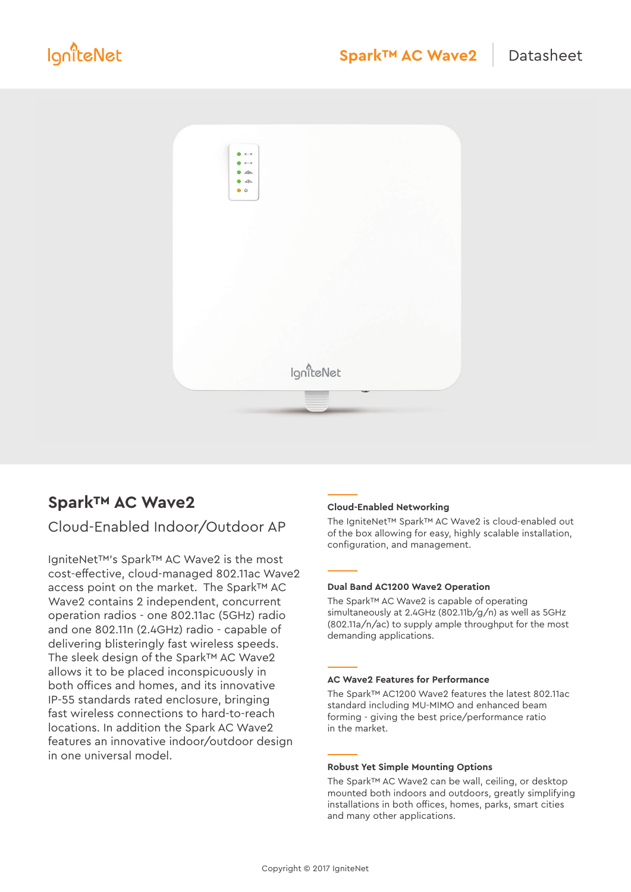

# **Spark™ AC Wave2**

# Cloud-Enabled Indoor/Outdoor AP

IgniteNet™'s Spark™ AC Wave2 is the most cost-effective, cloud-managed 802.11ac Wave2 access point on the market. The Spark™ AC Wave2 contains 2 independent, concurrent operation radios - one 802.11ac (5GHz) radio and one 802.11n (2.4GHz) radio - capable of delivering blisteringly fast wireless speeds. The sleek design of the Spark™ AC Wave2 allows it to be placed inconspicuously in both offices and homes, and its innovative IP-55 standards rated enclosure, bringing fast wireless connections to hard-to-reach locations. In addition the Spark AC Wave2 features an innovative indoor/outdoor design in one universal model.

# **Cloud-Enabled Networking**

The IgniteNet™ Spark™ AC Wave2 is cloud-enabled out of the box allowing for easy, highly scalable installation, configuration, and management.

# **Dual Band AC1200 Wave2 Operation**

The Spark™ AC Wave2 is capable of operating simultaneously at 2.4GHz (802.11b/g/n) as well as 5GHz (802.11a/n/ac) to supply ample throughput for the most demanding applications.

# **AC Wave2 Features for Performance**

The Spark™ AC1200 Wave2 features the latest 802.11ac standard including MU-MIMO and enhanced beam forming - giving the best price/performance ratio in the market.

#### **Robust Yet Simple Mounting Options**

The Spark™ AC Wave2 can be wall, ceiling, or desktop mounted both indoors and outdoors, greatly simplifying installations in both offices, homes, parks, smart cities and many other applications.